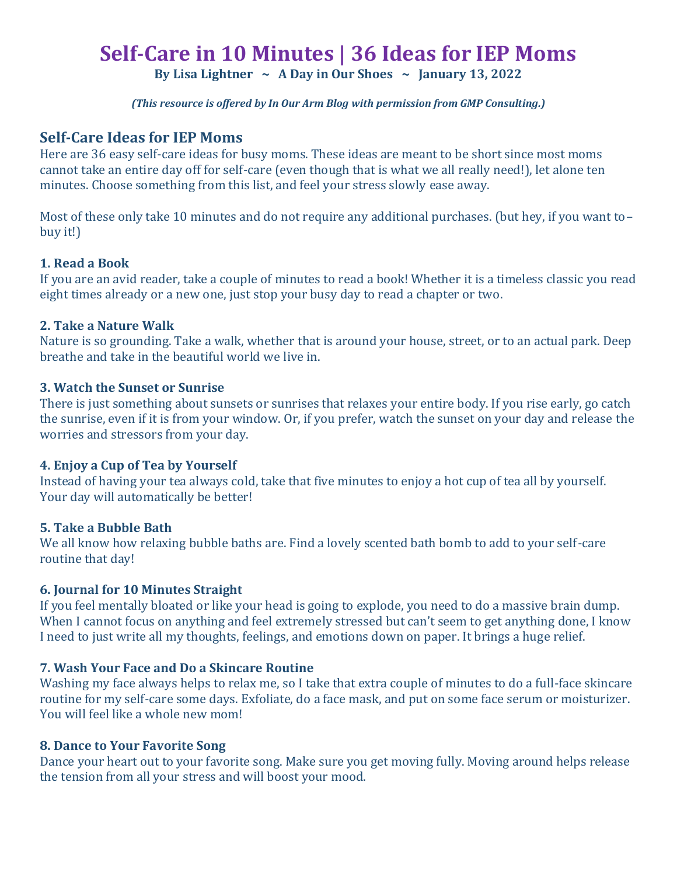# **Self-Care in 10 Minutes | 36 Ideas for IEP Moms**

**By Lisa Lightner ~ A Day in Our Shoes ~ January 13, 2022**

*(This resource is offered by In Our Arm Blog with permission from GMP Consulting.)*

## **Self-Care Ideas for IEP Moms**

Here are 36 easy self-care ideas for busy moms. These ideas are meant to be short since most moms cannot take an entire day off for self-care (even though that is what we all really need!), let alone ten minutes. Choose something from this list, and feel your stress slowly ease away.

Most of these only take 10 minutes and do not require any additional purchases. (but hey, if you want to– buy it!)

#### **1. Read a Book**

If you are an avid reader, take a couple of minutes to read a book! Whether it is a timeless classic you read eight times already or a new one, just stop your busy day to read a chapter or two.

#### **2. Take a Nature Walk**

Nature is so grounding. Take a walk, whether that is around your house, street, or to an actual park. Deep breathe and take in the beautiful world we live in.

#### **3. Watch the Sunset or Sunrise**

There is just something about sunsets or sunrises that relaxes your entire body. If you rise early, go catch the sunrise, even if it is from your window. Or, if you prefer, watch the sunset on your day and release the worries and stressors from your day.

## **4. Enjoy a Cup of Tea by Yourself**

Instead of having your tea always cold, take that five minutes to enjoy a hot cup of tea all by yourself. Your day will automatically be better!

## **5. Take a Bubble Bath**

We all know how relaxing bubble baths are. Find a lovely scented bath bomb to add to your self-care routine that day!

## **6. Journal for 10 Minutes Straight**

If you feel mentally bloated or like your head is going to explode, you need to do a massive brain dump. When I cannot focus on anything and feel extremely stressed but can't seem to get anything done, I know I need to just write all my thoughts, feelings, and emotions down on paper. It brings a huge relief.

## **7. Wash Your Face and Do a Skincare Routine**

Washing my face always helps to relax me, so I take that extra couple of minutes to do a full-face skincare routine for my self-care some days. Exfoliate, do a face mask, and put on some face serum or moisturizer. You will feel like a whole new mom!

#### **8. Dance to Your Favorite Song**

Dance your heart out to your favorite song. Make sure you get moving fully. Moving around helps release the tension from all your stress and will boost your mood.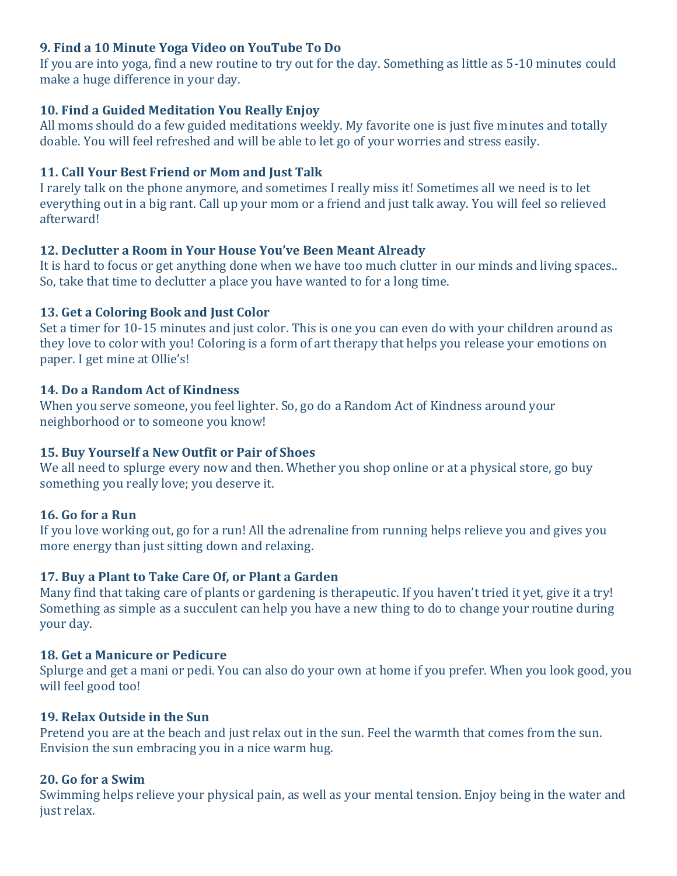# **9. Find a 10 Minute Yoga Video on YouTube To Do**

If you are into yoga, find a new routine to try out for the day. Something as little as 5-10 minutes could make a huge difference in your day.

## **10. Find a Guided Meditation You Really Enjoy**

All moms should do a few guided meditations weekly. My favorite one is just five minutes and totally doable. You will feel refreshed and will be able to let go of your worries and stress easily.

# **11. Call Your Best Friend or Mom and Just Talk**

I rarely talk on the phone anymore, and sometimes I really miss it! Sometimes all we need is to let everything out in a big rant. Call up your mom or a friend and just talk away. You will feel so relieved afterward!

# **12. Declutter a Room in Your House You've Been Meant Already**

It is hard to focus or get anything done when we have too much clutter in our minds and living spaces.. So, take that time to declutter a place you have wanted to for a long time.

# **13. Get a Coloring Book and Just Color**

Set a timer for 10-15 minutes and just color. This is one you can even do with your children around as they love to color with you! Coloring is a form of art therapy that helps you release your emotions on paper. I get mine at Ollie's!

## **14. Do a Random Act of Kindness**

When you serve someone, you feel lighter. So, go do a Random Act of Kindness around your neighborhood or to someone you know!

# **15. Buy Yourself a New Outfit or Pair of Shoes**

We all need to splurge every now and then. Whether you shop online or at a physical store, go buy something you really love; you deserve it.

# **16. Go for a Run**

If you love working out, go for a run! All the adrenaline from running helps relieve you and gives you more energy than just sitting down and relaxing.

# **17. Buy a Plant to Take Care Of, or Plant a Garden**

Many find that taking care of plants or gardening is therapeutic. If you haven't tried it yet, give it a try! Something as simple as a succulent can help you have a new thing to do to change your routine during your day.

## **18. Get a Manicure or Pedicure**

Splurge and get a mani or pedi. You can also do your own at home if you prefer. When you look good, you will feel good too!

## **19. Relax Outside in the Sun**

Pretend you are at the beach and just relax out in the sun. Feel the warmth that comes from the sun. Envision the sun embracing you in a nice warm hug.

## **20. Go for a Swim**

Swimming helps relieve your physical pain, as well as your mental tension. Enjoy being in the water and just relax.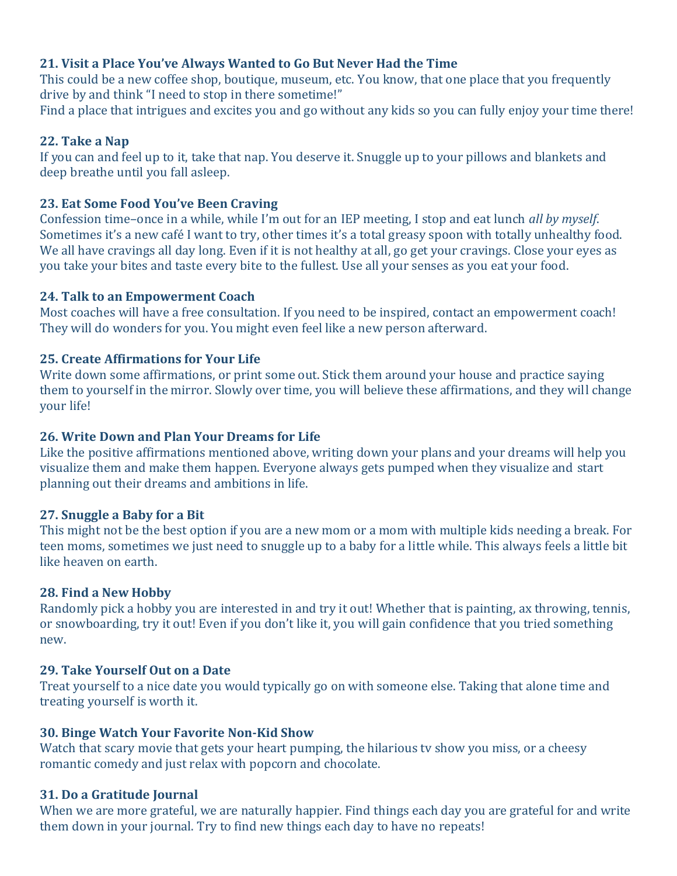## **21. Visit a Place You've Always Wanted to Go But Never Had the Time**

This could be a new coffee shop, boutique, museum, etc. You know, that one place that you frequently drive by and think "I need to stop in there sometime!"

Find a place that intrigues and excites you and go without any kids so you can fully enjoy your time there!

## **22. Take a Nap**

If you can and feel up to it, take that nap. You deserve it. Snuggle up to your pillows and blankets and deep breathe until you fall asleep.

## **23. Eat Some Food You've Been Craving**

Confession time–once in a while, while I'm out for an IEP meeting, I stop and eat lunch *all by myself*. Sometimes it's a new café I want to try, other times it's a total greasy spoon with totally unhealthy food. We all have cravings all day long. Even if it is not healthy at all, go get your cravings. Close your eyes as you take your bites and taste every bite to the fullest. Use all your senses as you eat your food.

## **24. Talk to an Empowerment Coach**

Most coaches will have a free consultation. If you need to be inspired, contact an empowerment coach! They will do wonders for you. You might even feel like a new person afterward.

## **25. Create Affirmations for Your Life**

Write down some affirmations, or print some out. Stick them around your house and practice saying them to yourself in the mirror. Slowly over time, you will believe these affirmations, and they will change your life!

## **26. Write Down and Plan Your Dreams for Life**

Like the positive affirmations mentioned above, writing down your plans and your dreams will help you visualize them and make them happen. Everyone always gets pumped when they visualize and start planning out their dreams and ambitions in life.

## **27. Snuggle a Baby for a Bit**

This might not be the best option if you are a new mom or a mom with multiple kids needing a break. For teen moms, sometimes we just need to snuggle up to a baby for a little while. This always feels a little bit like heaven on earth.

## **28. Find a New Hobby**

Randomly pick a hobby you are interested in and try it out! Whether that is painting, ax throwing, tennis, or snowboarding, try it out! Even if you don't like it, you will gain confidence that you tried something new.

## **29. Take Yourself Out on a Date**

Treat yourself to a nice date you would typically go on with someone else. Taking that alone time and treating yourself is worth it.

## **30. Binge Watch Your Favorite Non-Kid Show**

Watch that scary movie that gets your heart pumping, the hilarious tv show you miss, or a cheesy romantic comedy and just relax with popcorn and chocolate.

## **31. Do a Gratitude Journal**

When we are more grateful, we are naturally happier. Find things each day you are grateful for and write them down in your journal. Try to find new things each day to have no repeats!